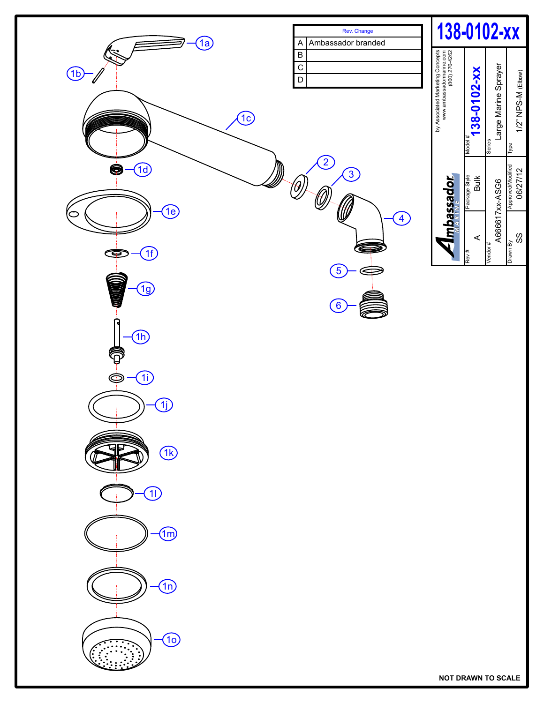

**NOT DRAWN TO SCALE**